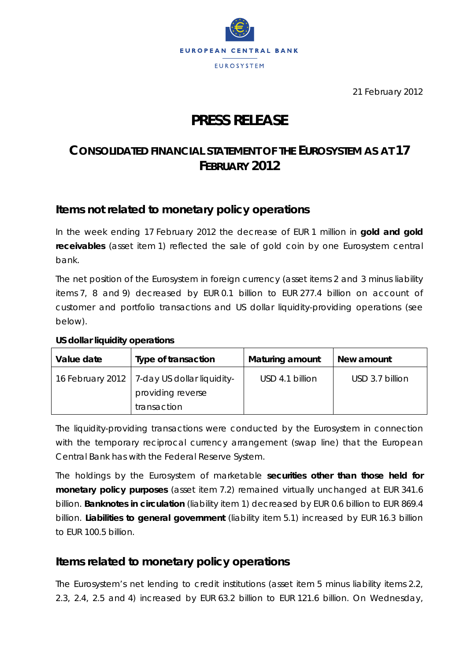

21 February 2012

# **PRESS RELEASE**

## **CONSOLIDATED FINANCIAL STATEMENT OF THE EUROSYSTEM AS AT 17 FEBRUARY 2012**

### **Items not related to monetary policy operations**

In the week ending 17 February 2012 the decrease of EUR 1 million in **gold and gold receivables** (asset item 1) reflected the sale of gold coin by one Eurosystem central bank.

The net position of the Eurosystem in foreign currency (asset items 2 and 3 minus liability items 7, 8 and 9) decreased by EUR 0.1 billion to EUR 277.4 billion on account of customer and portfolio transactions and US dollar liquidity-providing operations (see below).

| Value date | Type of transaction                                                               | <b>Maturing amount</b> | New amount      |
|------------|-----------------------------------------------------------------------------------|------------------------|-----------------|
|            | 16 February 2012   7-day US dollar liquidity-<br>providing reverse<br>transaction | USD 4.1 billion        | USD 3.7 billion |

#### **US dollar liquidity operations**

The liquidity-providing transactions were conducted by the Eurosystem in connection with the temporary reciprocal currency arrangement (swap line) that the European Central Bank has with the Federal Reserve System.

The holdings by the Eurosystem of marketable **securities other than those held for monetary policy purposes** (asset item 7.2) remained virtually unchanged at EUR 341.6 billion. **Banknotes in circulation** (liability item 1) decreased by EUR 0.6 billion to EUR 869.4 billion. **Liabilities to general government** (liability item 5.1) increased by EUR 16.3 billion to EUR 100.5 billion.

### **Items related to monetary policy operations**

The Eurosystem's net lending to credit institutions (asset item 5 minus liability items 2.2, 2.3, 2.4, 2.5 and 4) increased by EUR 63.2 billion to EUR 121.6 billion. On Wednesday,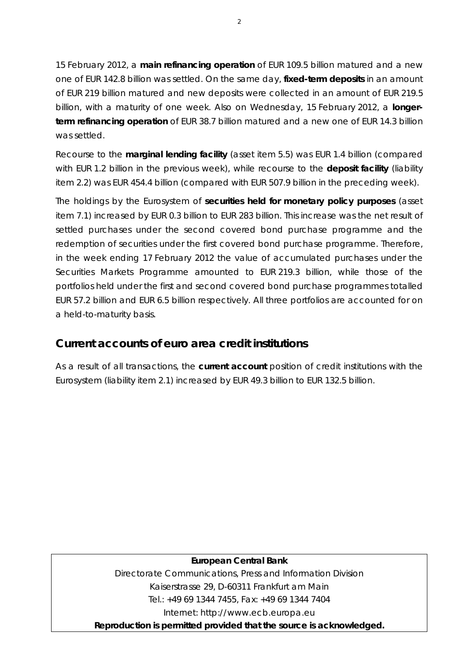15 February 2012, a **main refinancing operation** of EUR 109.5 billion matured and a new one of EUR 142.8 billion was settled. On the same day, **fixed-term deposits** in an amount of EUR 219 billion matured and new deposits were collected in an amount of EUR 219.5 billion, with a maturity of one week. Also on Wednesday, 15 February 2012, a **longerterm refinancing operation** of EUR 38.7 billion matured and a new one of EUR 14.3 billion was settled.

Recourse to the **marginal lending facility** (asset item 5.5) was EUR 1.4 billion (compared with EUR 1.2 billion in the previous week), while recourse to the **deposit facility** (liability item 2.2) was EUR 454.4 billion (compared with EUR 507.9 billion in the preceding week).

The holdings by the Eurosystem of **securities held for monetary policy purposes** (asset item 7.1) increased by EUR 0.3 billion to EUR 283 billion. This increase was the net result of settled purchases under the second covered bond purchase programme and the redemption of securities under the first covered bond purchase programme. Therefore, in the week ending 17 February 2012 the value of accumulated purchases under the Securities Markets Programme amounted to EUR 219.3 billion, while those of the portfolios held under the first and second covered bond purchase programmes totalled EUR 57.2 billion and EUR 6.5 billion respectively. All three portfolios are accounted for on a held-to-maturity basis.

### **Current accounts of euro area credit institutions**

As a result of all transactions, the **current account** position of credit institutions with the Eurosystem (liability item 2.1) increased by EUR 49.3 billion to EUR 132.5 billion.

#### **European Central Bank**

Directorate Communications, Press and Information Division Kaiserstrasse 29, D-60311 Frankfurt am Main Tel.: +49 69 1344 7455, Fax: +49 69 1344 7404 Internet: http://www.ecb.europa.eu

**Reproduction is permitted provided that the source is acknowledged.**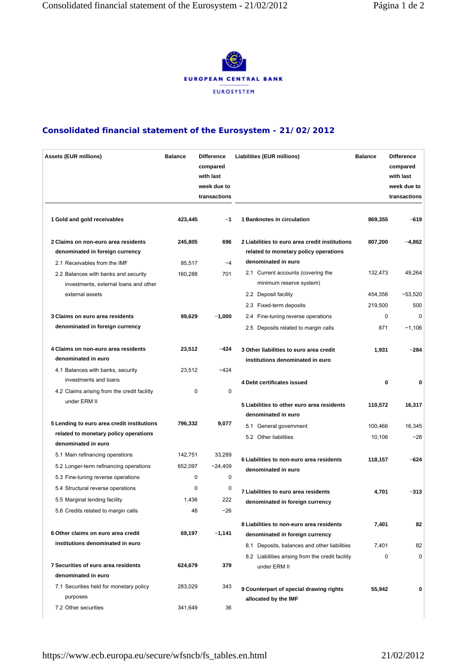

#### **Consolidated financial statement of the Eurosystem - 21/02/2012**

| <b>Assets (EUR millions)</b>                                                                                    | <b>Balance</b>          | <b>Difference</b><br>compared<br>with last<br>week due to<br>transactions | Liabilities (EUR millions)                                                                                                  | <b>Balance</b>     | <b>Difference</b><br>compared<br>with last<br>week due to<br>transactions |
|-----------------------------------------------------------------------------------------------------------------|-------------------------|---------------------------------------------------------------------------|-----------------------------------------------------------------------------------------------------------------------------|--------------------|---------------------------------------------------------------------------|
| 1 Gold and gold receivables                                                                                     | 423,445                 | $-1$                                                                      | 1 Banknotes in circulation                                                                                                  | 869,355            | $-619$                                                                    |
| 2 Claims on non-euro area residents<br>denominated in foreign currency                                          | 245,805                 | 696                                                                       | 2 Liabilities to euro area credit institutions<br>related to monetary policy operations                                     | 807,200            | $-4,862$                                                                  |
| 2.1 Receivables from the IMF<br>2.2 Balances with banks and security<br>investments, external loans and other   | 85,517<br>160,288       | $-4$<br>701                                                               | denominated in euro<br>2.1 Current accounts (covering the<br>minimum reserve system)                                        | 132,473            | 49,264                                                                    |
| external assets                                                                                                 |                         |                                                                           | 2.2 Deposit facility<br>2.3 Fixed-term deposits                                                                             | 454,356<br>219,500 | $-53,520$<br>500                                                          |
| 3 Claims on euro area residents<br>denominated in foreign currency                                              | 99,629                  | $-1,000$                                                                  | 2.4 Fine-tuning reverse operations<br>2.5 Deposits related to margin calls                                                  | 0<br>871           | $\Omega$<br>$-1,106$                                                      |
| 4 Claims on non-euro area residents<br>denominated in euro<br>4.1 Balances with banks, security                 | 23,512<br>23,512        | $-424$<br>$-424$                                                          | 3 Other liabilities to euro area credit<br>institutions denominated in euro                                                 | 1,931              | $-284$                                                                    |
| investments and loans<br>4.2 Claims arising from the credit facility<br>under ERM II                            | 0                       | 0                                                                         | 4 Debt certificates issued                                                                                                  | $\bf{0}$           | 0                                                                         |
|                                                                                                                 |                         |                                                                           | 5 Liabilities to other euro area residents<br>denominated in euro                                                           | 110,572            | 16,317                                                                    |
| 5 Lending to euro area credit institutions<br>related to monetary policy operations<br>denominated in euro      | 796,332                 | 9,077                                                                     | 5.1 General government<br>5.2 Other liabilities                                                                             | 100,466<br>10,106  | 16,345<br>$-28$                                                           |
| 5.1 Main refinancing operations<br>5.2 Longer-term refinancing operations<br>5.3 Fine-tuning reverse operations | 142,751<br>652,097<br>0 | 33,289<br>$-24,409$<br>0                                                  | 6 Liabilities to non-euro area residents<br>denominated in euro                                                             | 118,157            | $-624$                                                                    |
| 5.4 Structural reverse operations<br>5.5 Marginal lending facility<br>5.6 Credits related to margin calls       | 0<br>1,436<br>48        | 0<br>222<br>-26                                                           | 7 Liabilities to euro area residents<br>denominated in foreign currency                                                     | 4,701              | $-313$                                                                    |
| 6 Other claims on euro area credit<br>institutions denominated in euro                                          | 69,197                  | $-1,141$                                                                  | 8 Liabilities to non-euro area residents<br>denominated in foreign currency<br>8.1 Deposits, balances and other liabilities | 7,401<br>7,401     | 82<br>82                                                                  |
| 7 Securities of euro area residents<br>denominated in euro                                                      | 624,679                 | 379                                                                       | 8.2 Liabilities arising from the credit facility<br>under ERM II                                                            | 0                  | 0                                                                         |
| 7.1 Securities held for monetary policy<br>purposes                                                             | 283,029                 | 343                                                                       | 9 Counterpart of special drawing rights<br>allocated by the IMF                                                             | 55,942             | 0                                                                         |
| 7.2 Other securities                                                                                            | 341,649                 | 36                                                                        |                                                                                                                             |                    |                                                                           |